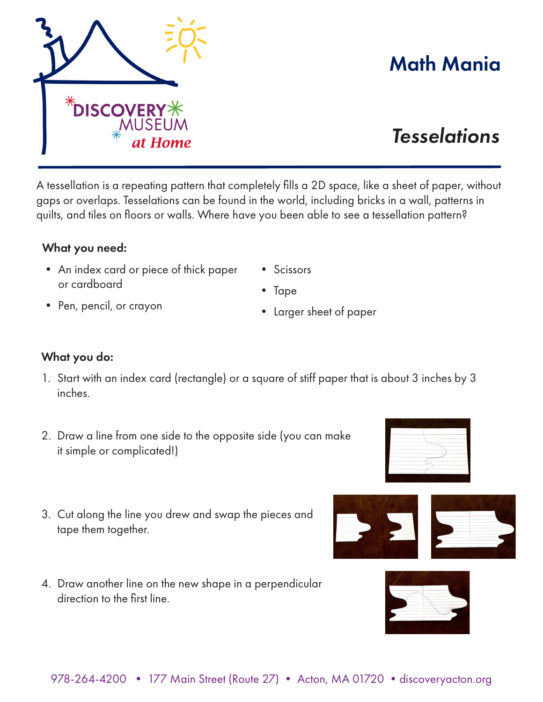A tessellation is a repeating pattern that completely fills a 2D space, like a sheet of paper, without gaps or overlaps. Tesselations can be found in the world, including bricks in a wall, patterns in quilts, and tiles on floors or walls. Where have you been able to see a tessellation pattern?

• Scissors

• Larger sheet of paper

• Tape

## What you need:

- An index card or piece of thick paper or cardboard
- Pen, pencil, or crayon
- What you do:
- 1. Start with an index card (rectangle) or a square of stiff paper that is about 3 inches by 3 inches.
- 2. Draw a line from one side to the opposite side (you can make it simple or complicated!)
- 3. Cut along the line you drew and swap the pieces and tape them together.
- 4. Draw another line on the new shape in a perpendicular direction to the first line.

## Math Mania

## *Tesselations*